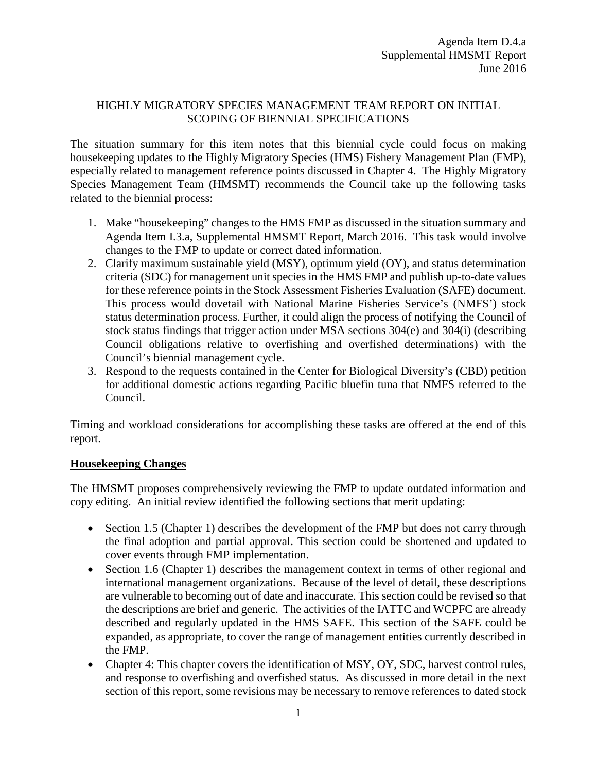### HIGHLY MIGRATORY SPECIES MANAGEMENT TEAM REPORT ON INITIAL SCOPING OF BIENNIAL SPECIFICATIONS

The situation summary for this item notes that this biennial cycle could focus on making housekeeping updates to the Highly Migratory Species (HMS) Fishery Management Plan (FMP), especially related to management reference points discussed in Chapter 4. The Highly Migratory Species Management Team (HMSMT) recommends the Council take up the following tasks related to the biennial process:

- 1. Make "housekeeping" changes to the HMS FMP as discussed in the situation summary and Agenda Item I.3.a, Supplemental HMSMT Report, March 2016. This task would involve changes to the FMP to update or correct dated information.
- 2. Clarify maximum sustainable yield (MSY), optimum yield (OY), and status determination criteria (SDC) for management unit species in the HMS FMP and publish up-to-date values for these reference points in the Stock Assessment Fisheries Evaluation (SAFE) document. This process would dovetail with National Marine Fisheries Service's (NMFS') stock status determination process. Further, it could align the process of notifying the Council of stock status findings that trigger action under MSA sections 304(e) and 304(i) (describing Council obligations relative to overfishing and overfished determinations) with the Council's biennial management cycle.
- 3. Respond to the requests contained in the Center for Biological Diversity's (CBD) petition for additional domestic actions regarding Pacific bluefin tuna that NMFS referred to the Council.

Timing and workload considerations for accomplishing these tasks are offered at the end of this report.

#### **Housekeeping Changes**

The HMSMT proposes comprehensively reviewing the FMP to update outdated information and copy editing. An initial review identified the following sections that merit updating:

- Section 1.5 (Chapter 1) describes the development of the FMP but does not carry through the final adoption and partial approval. This section could be shortened and updated to cover events through FMP implementation.
- Section 1.6 (Chapter 1) describes the management context in terms of other regional and international management organizations. Because of the level of detail, these descriptions are vulnerable to becoming out of date and inaccurate. This section could be revised so that the descriptions are brief and generic. The activities of the IATTC and WCPFC are already described and regularly updated in the HMS SAFE. This section of the SAFE could be expanded, as appropriate, to cover the range of management entities currently described in the FMP.
- Chapter 4: This chapter covers the identification of MSY, OY, SDC, harvest control rules, and response to overfishing and overfished status. As discussed in more detail in the next section of this report, some revisions may be necessary to remove references to dated stock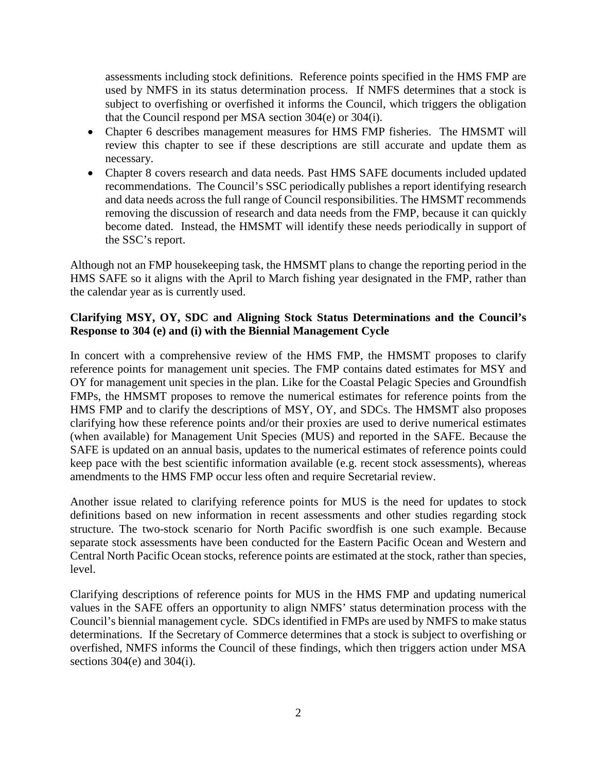assessments including stock definitions. Reference points specified in the HMS FMP are used by NMFS in its status determination process. If NMFS determines that a stock is subject to overfishing or overfished it informs the Council, which triggers the obligation that the Council respond per MSA section 304(e) or 304(i).

- Chapter 6 describes management measures for HMS FMP fisheries. The HMSMT will review this chapter to see if these descriptions are still accurate and update them as necessary.
- Chapter 8 covers research and data needs. Past HMS SAFE documents included updated recommendations. The Council's SSC periodically publishes a report identifying research and data needs across the full range of Council responsibilities. The HMSMT recommends removing the discussion of research and data needs from the FMP, because it can quickly become dated. Instead, the HMSMT will identify these needs periodically in support of the SSC's report.

Although not an FMP housekeeping task, the HMSMT plans to change the reporting period in the HMS SAFE so it aligns with the April to March fishing year designated in the FMP, rather than the calendar year as is currently used.

## **Clarifying MSY, OY, SDC and Aligning Stock Status Determinations and the Council's Response to 304 (e) and (i) with the Biennial Management Cycle**

In concert with a comprehensive review of the HMS FMP, the HMSMT proposes to clarify reference points for management unit species. The FMP contains dated estimates for MSY and OY for management unit species in the plan. Like for the Coastal Pelagic Species and Groundfish FMPs, the HMSMT proposes to remove the numerical estimates for reference points from the HMS FMP and to clarify the descriptions of MSY, OY, and SDCs. The HMSMT also proposes clarifying how these reference points and/or their proxies are used to derive numerical estimates (when available) for Management Unit Species (MUS) and reported in the SAFE. Because the SAFE is updated on an annual basis, updates to the numerical estimates of reference points could keep pace with the best scientific information available (e.g. recent stock assessments), whereas amendments to the HMS FMP occur less often and require Secretarial review.

Another issue related to clarifying reference points for MUS is the need for updates to stock definitions based on new information in recent assessments and other studies regarding stock structure. The two-stock scenario for North Pacific swordfish is one such example. Because separate stock assessments have been conducted for the Eastern Pacific Ocean and Western and Central North Pacific Ocean stocks, reference points are estimated at the stock, rather than species, level.

Clarifying descriptions of reference points for MUS in the HMS FMP and updating numerical values in the SAFE offers an opportunity to align NMFS' status determination process with the Council's biennial management cycle. SDCs identified in FMPs are used by NMFS to make status determinations. If the Secretary of Commerce determines that a stock is subject to overfishing or overfished, NMFS informs the Council of these findings, which then triggers action under MSA sections 304(e) and 304(i).